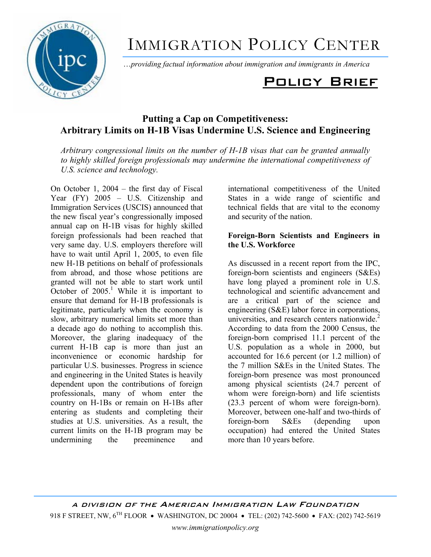

# IMMIGRATION POLICY CENTER

Ö*providing factual information about immigration and immigrants in America*

# Policy Brief

# **Putting a Cap on Competitiveness: Arbitrary Limits on H-1B Visas Undermine U.S. Science and Engineering**

*Arbitrary congressional limits on the number of H-1B visas that can be granted annually to highly skilled foreign professionals may undermine the international competitiveness of U.S. science and technology.* 

On October 1,  $2004 -$  the first day of Fiscal Year  $(FY)$  2005 – U.S. Citizenship and Immigration Services (USCIS) announced that the new fiscal year's congressionally imposed annual cap on H-1B visas for highly skilled foreign professionals had been reached that very same day. U.S. employers therefore will have to wait until April 1, 2005, to even file new H-1B petitions on behalf of professionals from abroad, and those whose petitions are granted will not be able to start work until October of  $2005$ <sup>1</sup> While it is important to ensure that demand for H-1B professionals is legitimate, particularly when the economy is slow, arbitrary numerical limits set more than a decade ago do nothing to accomplish this. Moreover, the glaring inadequacy of the current H-1B cap is more than just an inconvenience or economic hardship for particular U.S. businesses. Progress in science and engineering in the United States is heavily dependent upon the contributions of foreign professionals, many of whom enter the country on H-1Bs or remain on H-1Bs after entering as students and completing their studies at U.S. universities. As a result, the current limits on the H-1B program may be undermining the preeminence and

international competitiveness of the United States in a wide range of scientific and technical fields that are vital to the economy and security of the nation.

## **Foreign-Born Scientists and Engineers in the U.S. Workforce**

As discussed in a recent report from the IPC, foreign-born scientists and engineers (S&Es) have long played a prominent role in U.S. technological and scientific advancement and are a critical part of the science and engineering (S&E) labor force in corporations, universities, and research centers nationwide.<sup>2</sup> According to data from the 2000 Census, the foreign-born comprised 11.1 percent of the U.S. population as a whole in 2000, but accounted for 16.6 percent (or 1.2 million) of the 7 million S&Es in the United States. The foreign-born presence was most pronounced among physical scientists (24.7 percent of whom were foreign-born) and life scientists (23.3 percent of whom were foreign-born). Moreover, between one-half and two-thirds of foreign-born S&Es (depending upon occupation) had entered the United States more than 10 years before.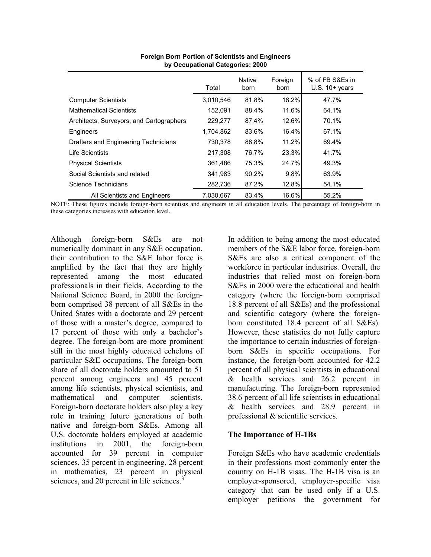|                                          | Total     | <b>Native</b><br>born | Foreign<br>born | % of FB S&Es in<br>$U.S. 10+ years$ |
|------------------------------------------|-----------|-----------------------|-----------------|-------------------------------------|
| <b>Computer Scientists</b>               | 3,010,546 | 81.8%                 | 18.2%           | 47.7%                               |
| <b>Mathematical Scientists</b>           | 152,091   | 88.4%                 | 11.6%           | 64.1%                               |
| Architects, Surveyors, and Cartographers | 229,277   | 87.4%                 | 12.6%           | 70.1%                               |
| Engineers                                | 1,704,862 | 83.6%                 | 16.4%           | 67.1%                               |
| Drafters and Engineering Technicians     | 730,378   | 88.8%                 | 11.2%           | 69.4%                               |
| I ife Scientists                         | 217,308   | 76.7%                 | 23.3%           | 41.7%                               |
| <b>Physical Scientists</b>               | 361.486   | 75.3%                 | 24.7%           | 49.3%                               |
| Social Scientists and related            | 341.983   | 90.2%                 | 9.8%            | 63.9%                               |
| Science Technicians                      | 282,736   | 87.2%                 | 12.8%           | 54.1%                               |
| All Scientists and Engineers             | 7.030.667 | 83.4%                 | 16.6%           | 55.2%                               |

**Foreign Born Portion of Scientists and Engineers by Occupational Categories: 2000**

NOTE: These figures include foreign-born scientists and engineers in all education levels. The percentage of foreign-born in these categories increases with education level.

Although foreign-born S&Es are not numerically dominant in any S&E occupation, their contribution to the S&E labor force is amplified by the fact that they are highly represented among the most educated professionals in their fields. According to the National Science Board, in 2000 the foreignborn comprised 38 percent of all S&Es in the United States with a doctorate and 29 percent of those with a master's degree, compared to 17 percent of those with only a bachelor's degree. The foreign-born are more prominent still in the most highly educated echelons of particular S&E occupations. The foreign-born share of all doctorate holders amounted to 51 percent among engineers and 45 percent among life scientists, physical scientists, and mathematical and computer scientists. Foreign-born doctorate holders also play a key role in training future generations of both native and foreign-born S&Es. Among all U.S. doctorate holders employed at academic institutions in 2001, the foreign-born accounted for 39 percent in computer sciences, 35 percent in engineering, 28 percent in mathematics, 23 percent in physical sciences, and 20 percent in life sciences.<sup>3</sup>

In addition to being among the most educated members of the S&E labor force, foreign-born S&Es are also a critical component of the workforce in particular industries. Overall, the industries that relied most on foreign-born S&Es in 2000 were the educational and health category (where the foreign-born comprised 18.8 percent of all S&Es) and the professional and scientific category (where the foreignborn constituted 18.4 percent of all S&Es). However, these statistics do not fully capture the importance to certain industries of foreignborn S&Es in specific occupations. For instance, the foreign-born accounted for 42.2 percent of all physical scientists in educational & health services and 26.2 percent in manufacturing. The foreign-born represented 38.6 percent of all life scientists in educational & health services and 28.9 percent in professional & scientific services.

#### **The Importance of H-1Bs**

Foreign S&Es who have academic credentials in their professions most commonly enter the country on H-1B visas. The H-1B visa is an employer-sponsored, employer-specific visa category that can be used only if a U.S. employer petitions the government for